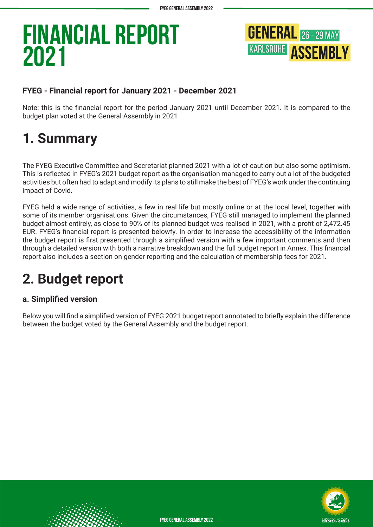

#### **FYEG - Financial report for January 2021 - December 2021**

Note: this is the financial report for the period January 2021 until December 2021. It is compared to the budget plan voted at the General Assembly in 2021

### **1. Summary**

The FYEG Executive Committee and Secretariat planned 2021 with a lot of caution but also some optimism. This is reflected in FYEG's 2021 budget report as the organisation managed to carry out a lot of the budgeted activities but often had to adapt and modify its plans to still make the best of FYEG's work under the continuing impact of Covid.

FYEG held a wide range of activities, a few in real life but mostly online or at the local level, together with some of its member organisations. Given the circumstances, FYEG still managed to implement the planned budget almost entirely, as close to 90% of its planned budget was realised in 2021, with a profit of 2,472.45 EUR. FYEG's financial report is presented belowfy. In order to increase the accessibility of the information the budget report is first presented through a simplified version with a few important comments and then through a detailed version with both a narrative breakdown and the full budget report in Annex. This financial report also includes a section on gender reporting and the calculation of membership fees for 2021.

### **2. Budget report**

#### **a. Simplified version**

Below you will find a simplified version of FYEG 2021 budget report annotated to briefly explain the difference between the budget voted by the General Assembly and the budget report.



**FYEG General Assembly 2022**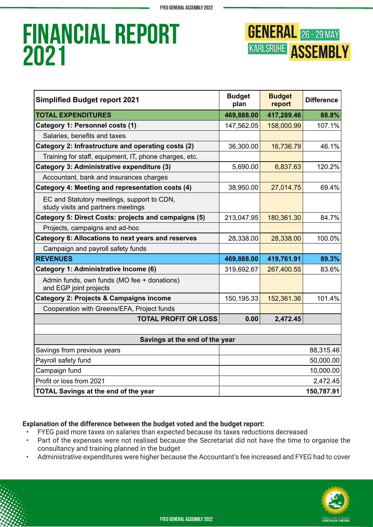

| <b>Simplified Budget report 2021</b>                                             | <b>Budget</b><br>plan | <b>Budget</b><br>report | <b>Difference</b> |  |
|----------------------------------------------------------------------------------|-----------------------|-------------------------|-------------------|--|
| <b>TOTAL EXPENDITURES</b>                                                        | 469,888.00            | 417,289.46              | 88.8%             |  |
| Category 1: Personnel costs (1)                                                  | 147,562.05            | 158,000.99              | 107.1%            |  |
| Salaries, benefits and taxes                                                     |                       |                         |                   |  |
| Category 2: Infrastructure and operating costs (2)                               | 36,300.00             | 16,736.79               | 46.1%             |  |
| Training for staff, equipment, IT, phone charges, etc.                           |                       |                         |                   |  |
| Category 3: Administrative expenditure (3)                                       | 5,690.00              | 6,837.63                | 120.2%            |  |
| Accountant, bank and insurances charges                                          |                       |                         |                   |  |
| Category 4: Meeting and representation costs (4)                                 | 38,950.00             | 27,014.75               | 69.4%             |  |
| EC and Statutory meetings, support to CDN,<br>study visits and partners meetings |                       |                         |                   |  |
| Category 5: Direct Costs: projects and campaigns (5)                             | 213,047.95            | 180,361.30              | 84.7%             |  |
| Projects, campaigns and ad-hoc                                                   |                       |                         |                   |  |
| <b>Category 6: Allocations to next years and reserves</b>                        | 28,338.00             | 28,338.00               | 100.0%            |  |
| Campaign and payroll safety funds                                                |                       |                         |                   |  |
| <b>REVENUES</b>                                                                  | 469,888.00            | 419,761.91              | 89.3%             |  |
| <b>Category 1: Administrative Income (6)</b>                                     | 319,692.67            | 267,400.55              | 83.6%             |  |
| Admin funds, own funds (MO fee + donations)<br>and EGP joint projects            |                       |                         |                   |  |
| <b>Category 2: Projects &amp; Campaigns income</b>                               | 150,195.33            | 152,361.36              | 101.4%            |  |
| Cooperation with Greens/EFA, Project funds                                       |                       |                         |                   |  |
| <b>TOTAL PROFIT OR LOSS</b>                                                      | 0.00                  | 2,472.45                |                   |  |
|                                                                                  |                       |                         |                   |  |
| Savings at the end of the year                                                   |                       |                         |                   |  |
| Savings from previous years                                                      | 88,315.46             |                         |                   |  |
| Payroll safety fund                                                              | 50,000.00             |                         |                   |  |
| Campaign fund                                                                    | 10,000.00             |                         |                   |  |
| Profit or loss from 2021                                                         |                       |                         | 2,472.45          |  |
| <b>TOTAL Savings at the end of the year</b>                                      | 150,787.91            |                         |                   |  |

#### **Explanation of the difference between the budget voted and the budget report:**

- FYEG paid more taxes on salaries than expected because its taxes reductions decreased
- Part of the expenses were not realised because the Secretariat did not have the time to organise the consultancy and training planned in the budget
- Administrative expenditures were higher because the Accountant's fee increased and FYEG had to cover

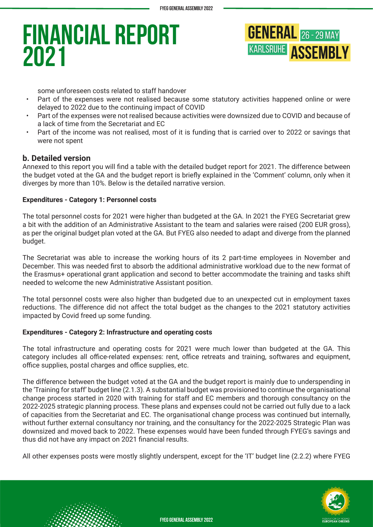

some unforeseen costs related to staff handover

- Part of the expenses were not realised because some statutory activities happened online or were delayed to 2022 due to the continuing impact of COVID
- Part of the expenses were not realised because activities were downsized due to COVID and because of a lack of time from the Secretariat and EC
- Part of the income was not realised, most of it is funding that is carried over to 2022 or savings that were not spent

#### **b. Detailed version**

Annexed to this report you will find a table with the detailed budget report for 2021. The difference between the budget voted at the GA and the budget report is briefly explained in the 'Comment' column, only when it diverges by more than 10%. Below is the detailed narrative version.

#### **Expenditures - Category 1: Personnel costs**

The total personnel costs for 2021 were higher than budgeted at the GA. In 2021 the FYEG Secretariat grew a bit with the addition of an Administrative Assistant to the team and salaries were raised (200 EUR gross), as per the original budget plan voted at the GA. But FYEG also needed to adapt and diverge from the planned budget.

The Secretariat was able to increase the working hours of its 2 part-time employees in November and December. This was needed first to absorb the additional administrative workload due to the new format of the Erasmus+ operational grant application and second to better accommodate the training and tasks shift needed to welcome the new Administrative Assistant position.

The total personnel costs were also higher than budgeted due to an unexpected cut in employment taxes reductions. The difference did not affect the total budget as the changes to the 2021 statutory activities impacted by Covid freed up some funding.

#### **Expenditures - Category 2: Infrastructure and operating costs**

The total infrastructure and operating costs for 2021 were much lower than budgeted at the GA. This category includes all office-related expenses: rent, office retreats and training, softwares and equipment, office supplies, postal charges and office supplies, etc.

The difference between the budget voted at the GA and the budget report is mainly due to underspending in the 'Training for staff' budget line (2.1.3). A substantial budget was provisioned to continue the organisational change process started in 2020 with training for staff and EC members and thorough consultancy on the 2022-2025 strategic planning process. These plans and expenses could not be carried out fully due to a lack of capacities from the Secretariat and EC. The organisational change process was continued but internally, without further external consultancy nor training, and the consultancy for the 2022-2025 Strategic Plan was downsized and moved back to 2022. These expenses would have been funded through FYEG's savings and thus did not have any impact on 2021 financial results.

All other expenses posts were mostly slightly underspent, except for the 'IT' budget line (2.2.2) where FYEG

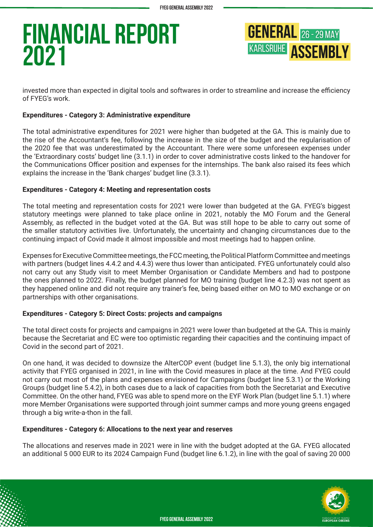

invested more than expected in digital tools and softwares in order to streamline and increase the efficiency of FYEG's work.

#### **Expenditures - Category 3: Administrative expenditure**

The total administrative expenditures for 2021 were higher than budgeted at the GA. This is mainly due to the rise of the Accountant's fee, following the increase in the size of the budget and the regularisation of the 2020 fee that was underestimated by the Accountant. There were some unforeseen expenses under the 'Extraordinary costs' budget line (3.1.1) in order to cover administrative costs linked to the handover for the Communications Officer position and expenses for the internships. The bank also raised its fees which explains the increase in the 'Bank charges' budget line (3.3.1).

#### **Expenditures - Category 4: Meeting and representation costs**

The total meeting and representation costs for 2021 were lower than budgeted at the GA. FYEG's biggest statutory meetings were planned to take place online in 2021, notably the MO Forum and the General Assembly, as reflected in the budget voted at the GA. But was still hope to be able to carry out some of the smaller statutory activities live. Unfortunately, the uncertainty and changing circumstances due to the continuing impact of Covid made it almost impossible and most meetings had to happen online.

Expenses for Executive Committee meetings, the FCC meeting, the Political Platform Committee and meetings with partners (budget lines 4.4.2 and 4.4.3) were thus lower than anticipated. FYEG unfortunately could also not carry out any Study visit to meet Member Organisation or Candidate Members and had to postpone the ones planned to 2022. Finally, the budget planned for MO training (budget line 4.2.3) was not spent as they happened online and did not require any trainer's fee, being based either on MO to MO exchange or on partnerships with other organisations.

#### **Expenditures - Category 5: Direct Costs: projects and campaigns**

The total direct costs for projects and campaigns in 2021 were lower than budgeted at the GA. This is mainly because the Secretariat and EC were too optimistic regarding their capacities and the continuing impact of Covid in the second part of 2021.

On one hand, it was decided to downsize the AlterCOP event (budget line 5.1.3), the only big international activity that FYEG organised in 2021, in line with the Covid measures in place at the time. And FYEG could not carry out most of the plans and expenses envisioned for Campaigns (budget line 5.3.1) or the Working Groups (budget line 5.4.2), in both cases due to a lack of capacities from both the Secretariat and Executive Committee. On the other hand, FYEG was able to spend more on the EYF Work Plan (budget line 5.1.1) where more Member Organisations were supported through joint summer camps and more young greens engaged through a big write-a-thon in the fall.

#### **Expenditures - Category 6: Allocations to the next year and reserves**

The allocations and reserves made in 2021 were in line with the budget adopted at the GA. FYEG allocated an additional 5 000 EUR to its 2024 Campaign Fund (budget line 6.1.2), in line with the goal of saving 20 000

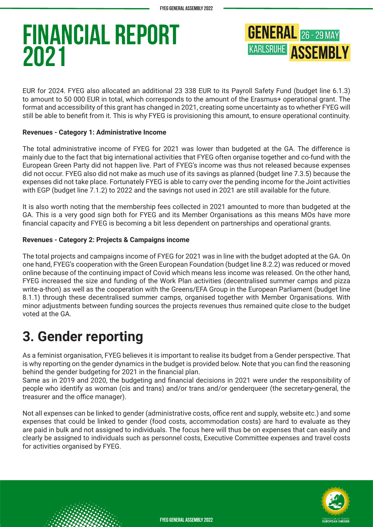

EUR for 2024. FYEG also allocated an additional 23 338 EUR to its Payroll Safety Fund (budget line 6.1.3) to amount to 50 000 EUR in total, which corresponds to the amount of the Erasmus+ operational grant. The format and accessibility of this grant has changed in 2021, creating some uncertainty as to whether FYEG will still be able to benefit from it. This is why FYEG is provisioning this amount, to ensure operational continuity.

#### **Revenues - Category 1: Administrative Income**

The total administrative income of FYEG for 2021 was lower than budgeted at the GA. The difference is mainly due to the fact that big international activities that FYEG often organise together and co-fund with the European Green Party did not happen live. Part of FYEG's income was thus not released because expenses did not occur. FYEG also did not make as much use of its savings as planned (budget line 7.3.5) because the expenses did not take place. Fortunately FYEG is able to carry over the pending income for the Joint activities with EGP (budget line 7.1.2) to 2022 and the savings not used in 2021 are still available for the future.

It is also worth noting that the membership fees collected in 2021 amounted to more than budgeted at the GA. This is a very good sign both for FYEG and its Member Organisations as this means MOs have more financial capacity and FYEG is becoming a bit less dependent on partnerships and operational grants.

#### **Revenues - Category 2: Projects & Campaigns income**

The total projects and campaigns income of FYEG for 2021 was in line with the budget adopted at the GA. On one hand, FYEG's cooperation with the Green European Foundation (budget line 8.2.2) was reduced or moved online because of the continuing impact of Covid which means less income was released. On the other hand, FYEG increased the size and funding of the Work Plan activities (decentralised summer camps and pizza write-a-thon) as well as the cooperation with the Greens/EFA Group in the European Parliament (budget line 8.1.1) through these decentralised summer camps, organised together with Member Organisations. With minor adjustments between funding sources the projects revenues thus remained quite close to the budget voted at the GA.

### **3. Gender reporting**

As a feminist organisation, FYEG believes it is important to realise its budget from a Gender perspective. That is why reporting on the gender dynamics in the budget is provided below. Note that you can find the reasoning behind the gender budgeting for 2021 in the financial plan.

Same as in 2019 and 2020, the budgeting and financial decisions in 2021 were under the responsibility of people who identify as woman (cis and trans) and/or trans and/or genderqueer (the secretary-general, the treasurer and the office manager).

Not all expenses can be linked to gender (administrative costs, office rent and supply, website etc.) and some expenses that could be linked to gender (food costs, accommodation costs) are hard to evaluate as they are paid in bulk and not assigned to individuals. The focus here will thus be on expenses that can easily and clearly be assigned to individuals such as personnel costs, Executive Committee expenses and travel costs for activities organised by FYEG.

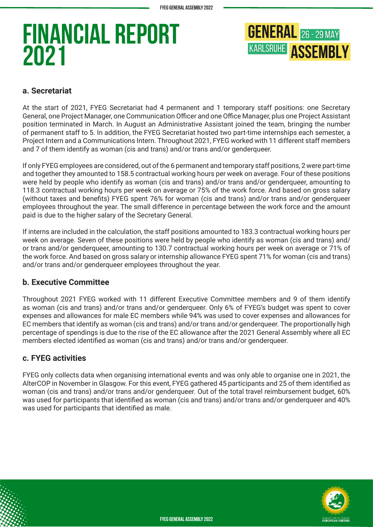

#### **a. Secretariat**

At the start of 2021, FYEG Secretariat had 4 permanent and 1 temporary staff positions: one Secretary General, one Project Manager, one Communication Officer and one Office Manager, plus one Project Assistant position terminated in March. In August an Administrative Assistant joined the team, bringing the number of permanent staff to 5. In addition, the FYEG Secretariat hosted two part-time internships each semester, a Project Intern and a Communications Intern. Throughout 2021, FYEG worked with 11 different staff members and 7 of them identify as woman (cis and trans) and/or trans and/or genderqueer.

If only FYEG employees are considered, out of the 6 permanent and temporary staff positions, 2 were part-time and together they amounted to 158.5 contractual working hours per week on average. Four of these positions were held by people who identify as woman (cis and trans) and/or trans and/or genderqueer, amounting to 118.3 contractual working hours per week on average or 75% of the work force. And based on gross salary (without taxes and benefits) FYEG spent 76% for woman (cis and trans) and/or trans and/or genderqueer employees throughout the year. The small difference in percentage between the work force and the amount paid is due to the higher salary of the Secretary General.

If interns are included in the calculation, the staff positions amounted to 183.3 contractual working hours per week on average. Seven of these positions were held by people who identify as woman (cis and trans) and/ or trans and/or genderqueer, amounting to 130.7 contractual working hours per week on average or 71% of the work force. And based on gross salary or internship allowance FYEG spent 71% for woman (cis and trans) and/or trans and/or genderqueer employees throughout the year.

#### **b. Executive Committee**

Throughout 2021 FYEG worked with 11 different Executive Committee members and 9 of them identify as woman (cis and trans) and/or trans and/or genderqueer. Only 6% of FYEG's budget was spent to cover expenses and allowances for male EC members while 94% was used to cover expenses and allowances for EC members that identify as woman (cis and trans) and/or trans and/or genderqueer. The proportionally high percentage of spendings is due to the rise of the EC allowance after the 2021 General Assembly where all EC members elected identified as woman (cis and trans) and/or trans and/or genderqueer.

#### **c. FYEG activities**

FYEG only collects data when organising international events and was only able to organise one in 2021, the AlterCOP in November in Glasgow. For this event, FYEG gathered 45 participants and 25 of them identified as woman (cis and trans) and/or trans and/or genderqueer. Out of the total travel reimbursement budget, 60% was used for participants that identified as woman (cis and trans) and/or trans and/or genderqueer and 40% was used for participants that identified as male.

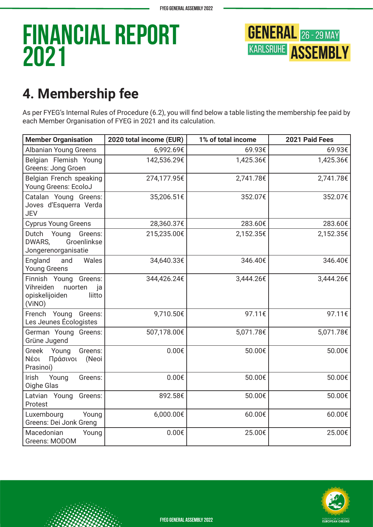

### **4. Membership fee**

As per FYEG's Internal Rules of Procedure (6.2), you will find below a table listing the membership fee paid by each Member Organisation of FYEG in 2021 and its calculation.

| <b>Member Organisation</b>                                                                | 2020 total income (EUR) | 1% of total income | 2021 Paid Fees |
|-------------------------------------------------------------------------------------------|-------------------------|--------------------|----------------|
| <b>Albanian Young Greens</b>                                                              | 6,992.69€               | 69.93€             | 69.93€         |
| Belgian Flemish Young<br><b>Greens: Jong Groen</b>                                        | 142,536.29€             | 1,425.36€          | 1,425.36€      |
| Belgian French speaking<br>Young Greens: EcoloJ                                           | 274,177.95€             | 2,741.78€          | 2,741.78€      |
| Catalan Young Greens:<br>Joves d'Esquerra Verda<br><b>JEV</b>                             | 35,206.51€              | 352.07€            | 352.07€        |
| <b>Cyprus Young Greens</b>                                                                | 28,360.37€              | 283.60€            | 283.60€        |
| Dutch Young<br>Greens:<br>Groenlinkse<br>DWARS,<br>Jongerenorganisatie                    | 215,235.00€             | 2,152.35€          | 2,152.35€      |
| England<br>Wales<br>and<br><b>Young Greens</b>                                            | 34,640.33€              | 346.40€            | 346.40€        |
| Finnish Young Greens:<br>Vihreiden<br>nuorten<br>ja<br>opiskelijoiden<br>liitto<br>(ViNO) | 344,426.24€             | 3,444.26€          | 3,444.26€      |
| French Young<br>Greens:<br>Les Jeunes Écologistes                                         | 9,710.50€               | 97.11€             | 97.11€         |
| German Young Greens:<br>Grüne Jugend                                                      | 507,178.00€             | 5,071.78€          | 5,071.78€      |
| Greek Young<br>Greens:<br>Νέοι<br>Πράσινοι<br>(Neoi<br>Prasinoi)                          | $0.00 \epsilon$         | 50.00€             | 50.00€         |
| Irish<br>Young<br>Greens:<br>Oighe Glas                                                   | $0.00 \epsilon$         | 50.00€             | 50.00€         |
| Latvian Young<br>Greens:<br>Protest                                                       | 892.58€                 | 50.00€             | 50.00€         |
| Luxembourg<br>Young<br>Greens: Dei Jonk Greng                                             | 6,000.00€               | 60.00€             | 60.00€         |
| Macedonian<br>Young<br>Greens: MODOM                                                      | $0.00 \epsilon$         | 25.00€             | 25.00€         |



**FYEG General Assembly 2022**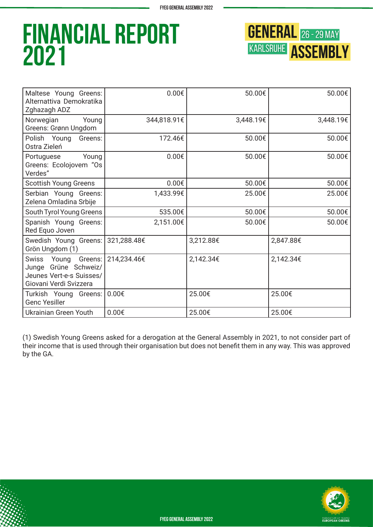

| Maltese Young Greens:<br>Alternattiva Demokratika<br>Zghazagh ADZ                                 | $0.00 \epsilon$ | 50.00€    | 50.00€    |
|---------------------------------------------------------------------------------------------------|-----------------|-----------|-----------|
| Norwegian<br>Young<br>Greens: Grønn Ungdom                                                        | 344,818.91€     | 3,448.19€ | 3,448.19€ |
| Polish Young<br>Greens:<br>Ostra Zieleń                                                           | 172.46€         | 50.00€    | 50.00€    |
| Young<br>Portuguese<br>Greens: Ecolojovem "Os<br>Verdes"                                          | $0.00 \epsilon$ | 50.00€    | 50.00€    |
| <b>Scottish Young Greens</b>                                                                      | $0.00 \epsilon$ | 50.00€    | 50.00€    |
| Serbian Young Greens:<br>Zelena Omladina Srbije                                                   | 1,433.99€       | 25.00€    | 25.00€    |
| South Tyrol Young Greens                                                                          | 535.00€         | 50.00€    | 50.00€    |
| Spanish Young Greens:<br>Red Equo Joven                                                           | 2,151.00€       | 50.00€    | 50.00€    |
| Swedish Young Greens: 321,288.48€<br>Grön Ungdom (1)                                              |                 | 3,212.88€ | 2,847.88€ |
| Swiss Young Greens:<br>Junge Grüne Schweiz/<br>Jeunes Vert-e-s Suisses/<br>Giovani Verdi Svizzera | 214,234.46€     | 2,142.34€ | 2,142.34€ |
| Turkish Young Greens:  <br><b>Genc Yesiller</b>                                                   | $0.00 \epsilon$ | 25.00€    | 25.00€    |
| Ukrainian Green Youth                                                                             | $0.00 \epsilon$ | 25.00€    | 25.00€    |

(1) Swedish Young Greens asked for a derogation at the General Assembly in 2021, to not consider part of their income that is used through their organisation but does not benefit them in any way. This was approved by the GA.

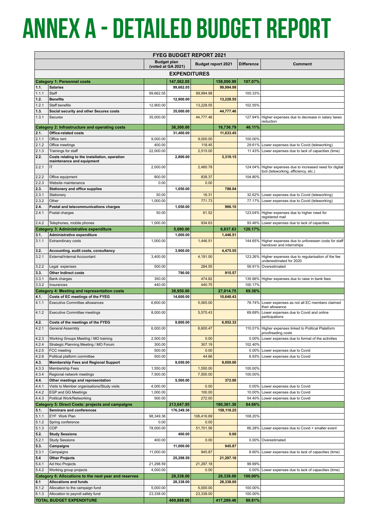# **Annex a - Detailed Budget report**

| <b>FYEG BUDGET REPORT 2021</b> |                                                                                       |                                                 |                        |                  |                        |                  |                                                                               |  |
|--------------------------------|---------------------------------------------------------------------------------------|-------------------------------------------------|------------------------|------------------|------------------------|------------------|-------------------------------------------------------------------------------|--|
|                                |                                                                                       | <b>Budget plan</b><br><b>Budget report 2021</b> |                        |                  | <b>Difference</b>      | Comment          |                                                                               |  |
|                                |                                                                                       | (voted at GA 2021)                              |                        |                  |                        |                  |                                                                               |  |
| <b>EXPENDITURES</b>            |                                                                                       |                                                 |                        |                  |                        |                  |                                                                               |  |
|                                | <b>Category 1: Personnel costs</b>                                                    |                                                 | 147,562.05             |                  | 158,000.99             | 107.07%          |                                                                               |  |
| 1.1.                           | <b>Salaries</b>                                                                       |                                                 | 99,662.05              |                  | 99,994.98              |                  |                                                                               |  |
| 1.1.1<br>1.2.                  | Staff<br><b>Benefits</b>                                                              | 99,662.05                                       | 12,900.00              | 99,994.98        | 13,228.55              | 100.33%          |                                                                               |  |
| 1.2.1                          | Staff benefits                                                                        | 12,900.00                                       |                        | 13,228.55        |                        | 102.55%          |                                                                               |  |
| 1.3.                           | Social security and other Securex costs                                               |                                                 | 35,000.00              |                  | 44,777.46              |                  |                                                                               |  |
| 1.3.1                          | Securex                                                                               | 35,000.00                                       |                        | 44,777.46        |                        | 127.94%          | Higher expenses due to decrease in salary taxes                               |  |
|                                | Category 2: Infrastructure and operating costs                                        |                                                 | 36,300.00              |                  | 16,736.79              | 46.11%           | reduction                                                                     |  |
| 2.1.                           | Office-related costs                                                                  |                                                 | 31,400.00              |                  | 11,633.45              |                  |                                                                               |  |
| 2.1.1                          | Office rent                                                                           | 9.000.00                                        |                        | 9,000.00         |                        | 100.00%          |                                                                               |  |
| 2.1.2                          | Office meetings                                                                       | 400.00                                          |                        | 118.45           |                        | 29.61%           | Lower expenses due to Covid (teleworking)                                     |  |
| 2.1.3                          | Trainings for staff                                                                   | 22,000.00                                       |                        | 2,515.00         |                        | 11.43%           | Lower expenses due to lack of capacities (time)                               |  |
| 2.2.                           | Costs relating to the installation, operation<br>maintenance and equipment            |                                                 | 2,800.00               |                  | 3,319.15               |                  |                                                                               |  |
| 2.2.1                          | IT                                                                                    | 2,000.00                                        |                        | 2,480.78         |                        | 124.04%          | Higher expenses due to increased need for digital                             |  |
|                                |                                                                                       |                                                 |                        |                  |                        |                  | tool (teleworking, efficiency, etc.)                                          |  |
| 2.2.2<br>2.2.3                 | Office equipment<br>Website maintenance                                               | 800.00<br>0.00                                  |                        | 838.37<br>0.00   |                        | 104.80%          |                                                                               |  |
| 2.3.                           | <b>Stationery and office supplies</b>                                                 |                                                 | 1,050.00               |                  | 788.04                 |                  |                                                                               |  |
| 2.3.1                          | Stationery                                                                            | 50.00                                           |                        | 16.31            |                        | 32.62%           | Lower expenses due to Covid (teleworking)                                     |  |
| 2.3.2                          | Other                                                                                 | 1,000.00                                        |                        | 771.73           |                        | 77.17%           | Lower expenses due to Covid (teleworking)                                     |  |
| 2.4.                           | Postal and telecommunications charges                                                 |                                                 | 1,050.00               |                  | 996.15                 |                  |                                                                               |  |
| 2.4.1                          | Postal charges                                                                        | 50.00                                           |                        | 61.52            |                        |                  | 123.04% Higher expenses due to higher need for<br>registered mail             |  |
| 2.4.2                          | Telephones, mobile phones                                                             | 1,000.00                                        |                        | 934.63           |                        | 93.46%           | Lower expenses due to lack of capacities                                      |  |
|                                | <b>Category 3: Administrative expenditure</b>                                         |                                                 | 5,690.00               |                  | 6,837.63               | 120.17%          |                                                                               |  |
| 3.1.                           | Administrative expenditure                                                            |                                                 | 1,000.00               |                  | 1,446.51               |                  |                                                                               |  |
| 3.1.1                          | <b>Extraordinary costs</b>                                                            | 1,000.00                                        |                        | 1,446.51         |                        | 144.65%          | Higher expenses due to unforeseen costs for staff<br>handover and internships |  |
| 3.2.                           | Accounting, audit costs, consultancy                                                  |                                                 | 3,900.00               |                  | 4,475.55               |                  |                                                                               |  |
| 3.2.1                          | External/internal Accountant                                                          | 3,400.00                                        |                        | 4,191.00         |                        | 123.26%          | Higher expenses due to regularisation of the fee                              |  |
|                                |                                                                                       | 500.00                                          |                        |                  |                        | 56.91%           | underestimated for 2020<br>Overestimated                                      |  |
| 3.2.2<br>3.3.                  | Legal expenses<br><b>Other Indirect costs</b>                                         |                                                 | 790.00                 | 284.55           | 915.57                 |                  |                                                                               |  |
| 3.3.1                          | Bank charges                                                                          | 350.00                                          |                        | 474.82           |                        | 135.66%          | Higher expenses due to raise in bank fees                                     |  |
| 3.3.2                          | Insurances                                                                            | 440.00                                          |                        | 440.75           |                        | 100.17%          |                                                                               |  |
|                                | <b>Category 4: Meeting and representation costs</b>                                   |                                                 | 38,950.00              |                  | 27,014.75              | 69.36%           |                                                                               |  |
| 4.1.                           | Costs of EC meetings of the FYEG                                                      |                                                 | 14,600.00              |                  | 10,640.43              |                  |                                                                               |  |
| 4.1.1                          | <b>Executive Committee allowances</b>                                                 | 6,600.00                                        |                        | 5,065.00         |                        | 76.74%           | Lower expenses as not all EC members claimed<br>their allowance               |  |
| 4.1.2                          | <b>Executive Committee meetings</b>                                                   | 8,000.00                                        |                        | 5,575.43         |                        | 69.69%           | Lower expenses due to Covid and online                                        |  |
| 4.2.                           | Costs of the meetings of the FYEG                                                     |                                                 | 9,800.00               |                  | 6,952.32               |                  | participations                                                                |  |
| 4.2.1                          | General Assembly                                                                      | 6,000.00                                        |                        | 6,600.47         |                        |                  | 110.01% Higher expenses linked to Political Plateform                         |  |
|                                |                                                                                       |                                                 |                        |                  |                        |                  | proofreading costs                                                            |  |
| 4.2.3                          | Working Groups Meeting / MO training                                                  | 2,500.00                                        |                        | 0.00             |                        | $0.00\%$         | Lower expenses due to format of the activities                                |  |
| 4.2.4<br>4.2.5                 | Strategic Planning Meeting / MO Forum<br>FCC meeting                                  | 300.00<br>500.00                                |                        | 307.19<br>0.00   |                        | 102.40%          |                                                                               |  |
| 4.2.6                          | Political platform committee                                                          | 500.00                                          |                        | 44.66            |                        | 0.00%<br>8.93%   | Lower expenses due to Covid<br>Lower expenses due to Covid                    |  |
| 4.3.                           | <b>Membership Fees and Regional Support</b>                                           |                                                 | 9,050.00               |                  | 9,050.00               |                  |                                                                               |  |
| 4.3.3                          | Membership Fees                                                                       | 1,550.00                                        |                        | 1,550.00         |                        | 100.00%          |                                                                               |  |
| 4.3.4                          | Regional network meetings                                                             | 7,500.00                                        |                        | 7,500.00         |                        | 100.00%          |                                                                               |  |
| 4.4.                           | Other meetings and representation                                                     |                                                 | 5,500.00               |                  | 372.00                 |                  |                                                                               |  |
| 4.4.1                          | Visits to Member organisations/Study visits                                           | 4,000.00                                        |                        | 0.00             |                        | $0.00\%$         | Lower expenses due to Covid                                                   |  |
| 4.4.2<br>4.4.3                 | <b>EGP and GG Meetings</b><br>Political Work/Networking                               | 1,000.00<br>500.00                              |                        | 100.00<br>272.00 |                        | 10.00%<br>54.40% | Lower expenses due to Covid<br>Lower expenses due to Covid                    |  |
|                                | <b>Category 5: Direct Costs: projects and campaigns</b>                               |                                                 | 213,047.95             |                  | 180,361.30             | 84.66%           |                                                                               |  |
| 5.1.                           | Seminars and conferences                                                              |                                                 | 176,349.36             |                  | 158,118.25             |                  |                                                                               |  |
| 5.1.1                          | EYF Work Plan                                                                         | 98,349.36                                       |                        | 106,416.69       |                        | 108.20%          |                                                                               |  |
| 5.1.2                          | Spring conference                                                                     | 0.00                                            |                        | 0.00             |                        |                  |                                                                               |  |
| 5.1.3                          | COP                                                                                   | 78,000.00                                       |                        | 51,701.56        |                        | 66.28%           | Lower expenses due to Covid + smaller event                                   |  |
| 5.2.<br>5.2.1                  | <b>Study Sessions</b><br><b>Study Sessions</b>                                        | 400.00                                          | 400.00                 | 0.00             | 0.00                   | $0.00\%$         | Overestimated                                                                 |  |
| 5.3.                           | Campaigns                                                                             |                                                 | 11,000.00              |                  | 945.87                 |                  |                                                                               |  |
| 5.3.1                          | Campaigns                                                                             | 11,000.00                                       |                        | 945.87           |                        | 8.60%            | Lower expenses due to lack of capacities (time)                               |  |
| 5.4                            | <b>Other Projects</b>                                                                 |                                                 | 25,298.59              |                  | 21,297.18              |                  |                                                                               |  |
| 5.4.1                          | Ad Hoc Projects                                                                       | 21,298.59                                       |                        | 21,297.18        |                        | 99.99%           |                                                                               |  |
| 5.4.2                          | Working group projects                                                                | 4,000.00                                        |                        | 0.00             |                        | $0.00\%$         | Lower expenses due to lack of capacities (time)                               |  |
| 6.1                            | Category 6: Allocations to the next year and reserves<br><b>Allocations and funds</b> |                                                 | 28,338.00<br>28,338.00 |                  | 28,338.00<br>28,338.00 | 100.00%          |                                                                               |  |
| 6.1.2                          | Allocation to the campaign fund                                                       | 5,000.00                                        |                        | 5,000.00         |                        | 100.00%          |                                                                               |  |
| 6.1.3                          | Allocation to payroll safety fund                                                     | 23,338.00                                       |                        | 23,338.00        |                        | 100.00%          |                                                                               |  |
|                                | <b>TOTAL BUDGET EXPENDITURE</b>                                                       |                                                 | 469,888.00             |                  | 417,289.46             | 88.81%           |                                                                               |  |